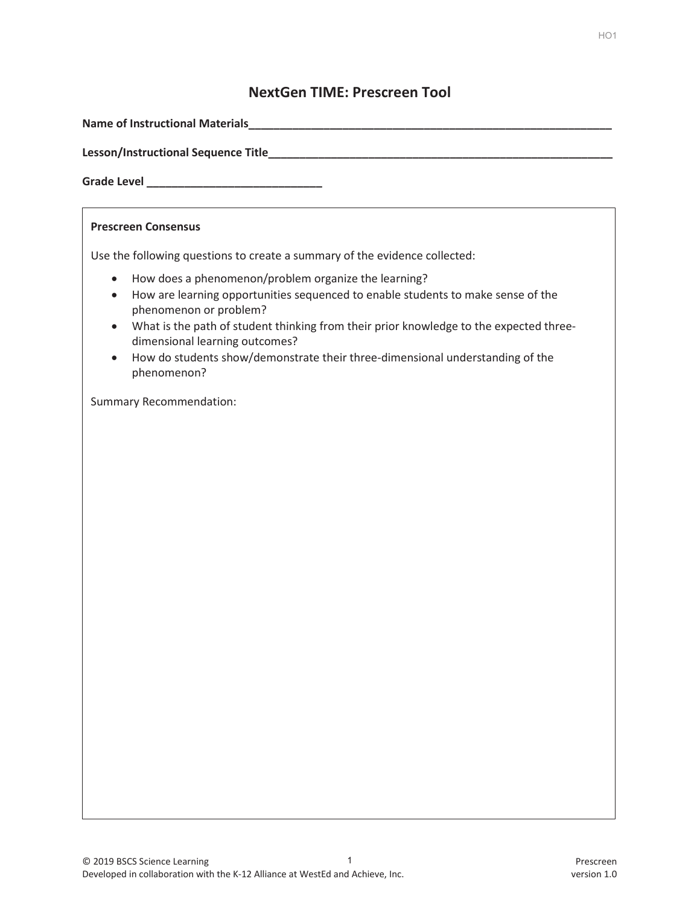#### **NextGen TIME: Prescreen Tool**

| <b>Prescreen Consensus</b>                                                                                                                                                                                                                                                                                                                                                                                                                         |  |  |
|----------------------------------------------------------------------------------------------------------------------------------------------------------------------------------------------------------------------------------------------------------------------------------------------------------------------------------------------------------------------------------------------------------------------------------------------------|--|--|
| Use the following questions to create a summary of the evidence collected:                                                                                                                                                                                                                                                                                                                                                                         |  |  |
| How does a phenomenon/problem organize the learning?<br>$\bullet$<br>How are learning opportunities sequenced to enable students to make sense of the<br>$\bullet$<br>phenomenon or problem?<br>What is the path of student thinking from their prior knowledge to the expected three-<br>$\bullet$<br>dimensional learning outcomes?<br>How do students show/demonstrate their three-dimensional understanding of the<br>$\bullet$<br>phenomenon? |  |  |
| <b>Summary Recommendation:</b>                                                                                                                                                                                                                                                                                                                                                                                                                     |  |  |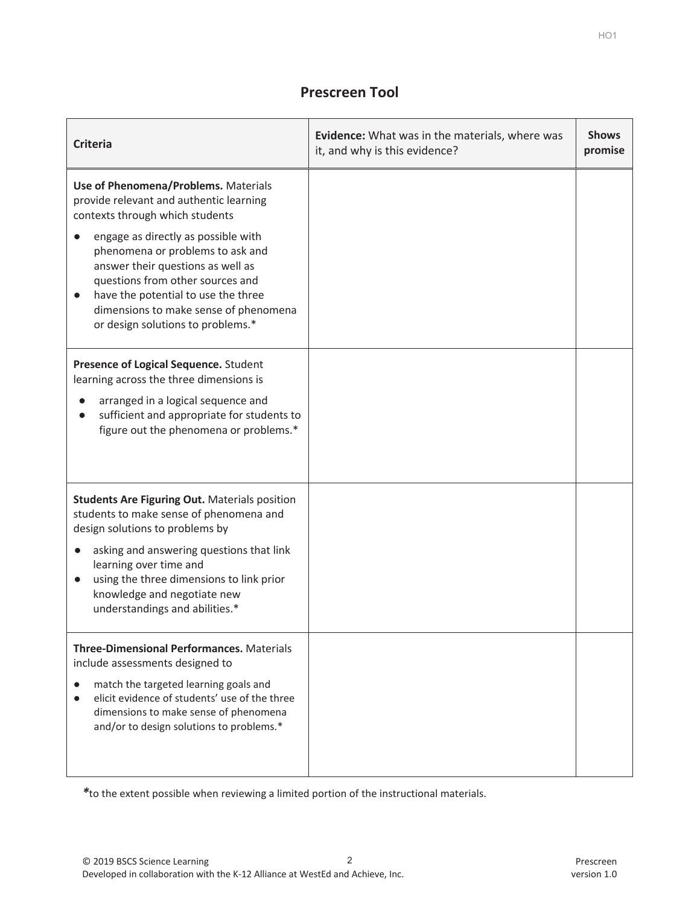## **Prescreen Tool**

| <b>Criteria</b>                                                                                                                                                                                                                                                                                                                                                                                                       | <b>Evidence:</b> What was in the materials, where was<br>it, and why is this evidence? | <b>Shows</b><br>promise |
|-----------------------------------------------------------------------------------------------------------------------------------------------------------------------------------------------------------------------------------------------------------------------------------------------------------------------------------------------------------------------------------------------------------------------|----------------------------------------------------------------------------------------|-------------------------|
| Use of Phenomena/Problems. Materials<br>provide relevant and authentic learning<br>contexts through which students<br>engage as directly as possible with<br>$\bullet$<br>phenomena or problems to ask and<br>answer their questions as well as<br>questions from other sources and<br>have the potential to use the three<br>$\bullet$<br>dimensions to make sense of phenomena<br>or design solutions to problems.* |                                                                                        |                         |
| Presence of Logical Sequence. Student<br>learning across the three dimensions is<br>arranged in a logical sequence and<br>sufficient and appropriate for students to<br>figure out the phenomena or problems.*                                                                                                                                                                                                        |                                                                                        |                         |
| <b>Students Are Figuring Out. Materials position</b><br>students to make sense of phenomena and<br>design solutions to problems by<br>asking and answering questions that link<br>$\bullet$<br>learning over time and<br>using the three dimensions to link prior<br>$\bullet$<br>knowledge and negotiate new<br>understandings and abilities.*                                                                       |                                                                                        |                         |
| <b>Three-Dimensional Performances. Materials</b><br>include assessments designed to<br>match the targeted learning goals and<br>$\bullet$<br>elicit evidence of students' use of the three<br>$\bullet$<br>dimensions to make sense of phenomena<br>and/or to design solutions to problems.*                                                                                                                          |                                                                                        |                         |

*\**to the extent possible when reviewing a limited portion of the instructional materials.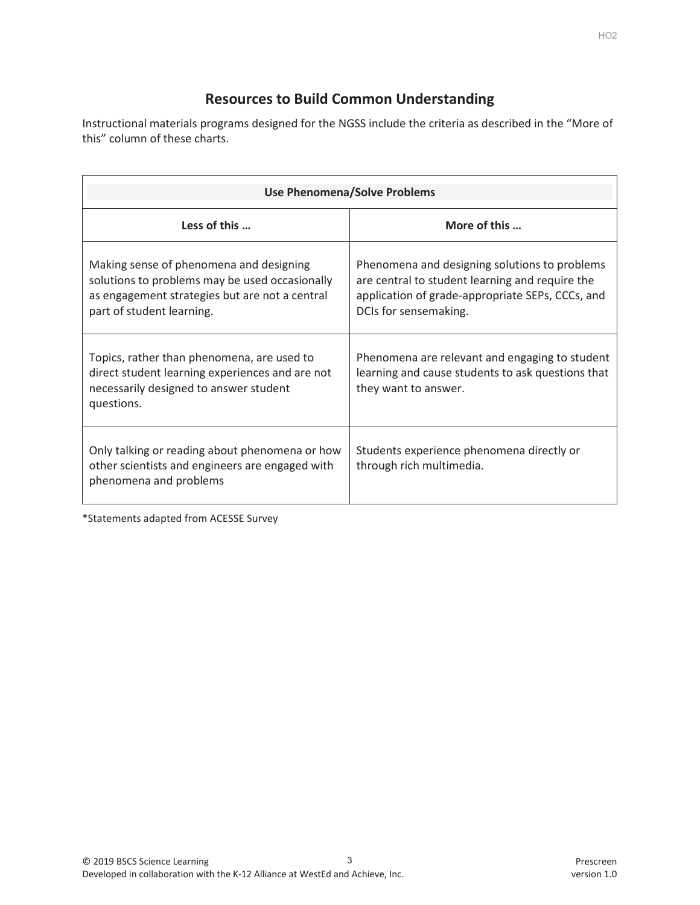# **Resources to Build Common Understanding**

Instructional materials programs designed for the NGSS include the criteria as described in the "More of this" column of these charts.

| <b>Use Phenomena/Solve Problems</b>                                                                                                                                      |                                                                                                                                                                               |  |  |
|--------------------------------------------------------------------------------------------------------------------------------------------------------------------------|-------------------------------------------------------------------------------------------------------------------------------------------------------------------------------|--|--|
| Less of this                                                                                                                                                             | More of this                                                                                                                                                                  |  |  |
| Making sense of phenomena and designing<br>solutions to problems may be used occasionally<br>as engagement strategies but are not a central<br>part of student learning. | Phenomena and designing solutions to problems<br>are central to student learning and require the<br>application of grade-appropriate SEPs, CCCs, and<br>DCIs for sensemaking. |  |  |
| Topics, rather than phenomena, are used to<br>direct student learning experiences and are not<br>necessarily designed to answer student<br>questions.                    | Phenomena are relevant and engaging to student<br>learning and cause students to ask questions that<br>they want to answer.                                                   |  |  |
| Only talking or reading about phenomena or how<br>other scientists and engineers are engaged with<br>phenomena and problems                                              | Students experience phenomena directly or<br>through rich multimedia.                                                                                                         |  |  |

\*Statements adapted from ACESSE Survey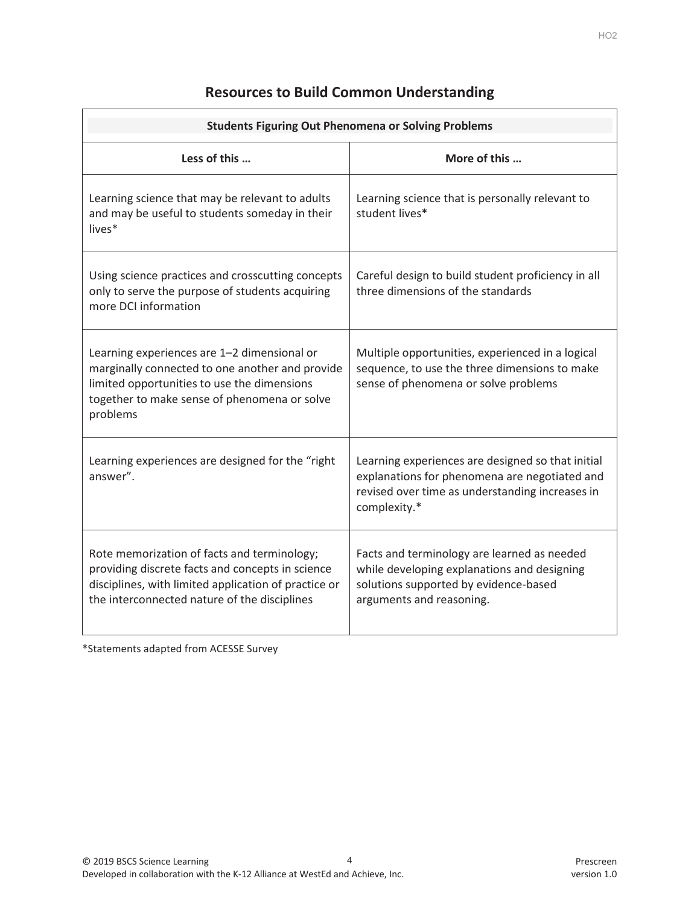## **Resources to Build Common Understanding**

| <b>Students Figuring Out Phenomena or Solving Problems</b>                                                                                                                                                |                                                                                                                                                                       |  |
|-----------------------------------------------------------------------------------------------------------------------------------------------------------------------------------------------------------|-----------------------------------------------------------------------------------------------------------------------------------------------------------------------|--|
| Less of this                                                                                                                                                                                              | More of this                                                                                                                                                          |  |
| Learning science that may be relevant to adults<br>and may be useful to students someday in their<br>lives*                                                                                               | Learning science that is personally relevant to<br>student lives*                                                                                                     |  |
| Using science practices and crosscutting concepts<br>only to serve the purpose of students acquiring<br>more DCI information                                                                              | Careful design to build student proficiency in all<br>three dimensions of the standards                                                                               |  |
| Learning experiences are 1-2 dimensional or<br>marginally connected to one another and provide<br>limited opportunities to use the dimensions<br>together to make sense of phenomena or solve<br>problems | Multiple opportunities, experienced in a logical<br>sequence, to use the three dimensions to make<br>sense of phenomena or solve problems                             |  |
| Learning experiences are designed for the "right<br>answer".                                                                                                                                              | Learning experiences are designed so that initial<br>explanations for phenomena are negotiated and<br>revised over time as understanding increases in<br>complexity.* |  |
| Rote memorization of facts and terminology;<br>providing discrete facts and concepts in science<br>disciplines, with limited application of practice or<br>the interconnected nature of the disciplines   | Facts and terminology are learned as needed<br>while developing explanations and designing<br>solutions supported by evidence-based<br>arguments and reasoning.       |  |

\*Statements adapted from ACESSE Survey